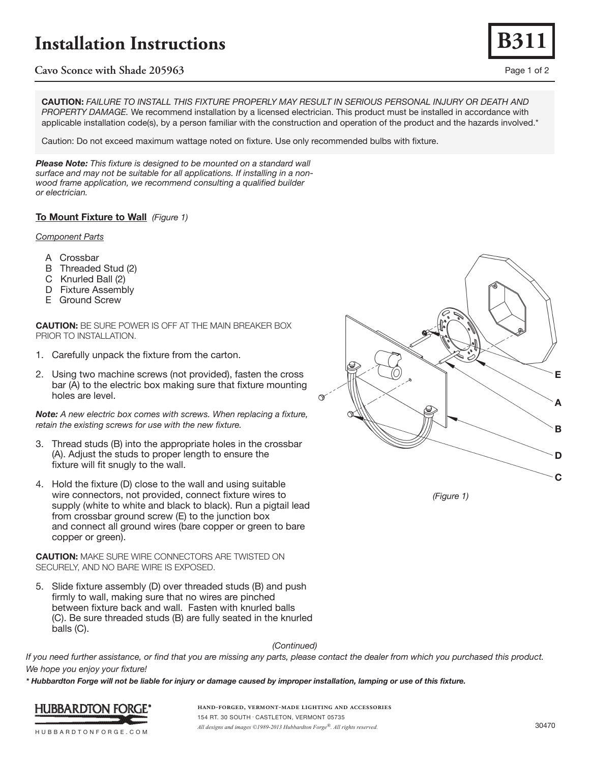# **Installation Instructions**

## **Cavo Sconce with Shade 205963** Page 1 of 2

**CAUTION:** *FAILURE TO INSTALL THIS FIXTURE PROPERLY MAY RESULT IN SERIOUS PERSONAL INJURY OR DEATH AND PROPERTY DAMAGE.* We recommend installation by a licensed electrician. This product must be installed in accordance with applicable installation code(s), by a person familiar with the construction and operation of the product and the hazards involved.\*

Caution: Do not exceed maximum wattage noted on fixture. Use only recommended bulbs with fixture.

*Please Note: This fixture is designed to be mounted on a standard wall surface and may not be suitable for all applications. If installing in a nonwood frame application, we recommend consulting a qualified builder or electrician.* 

## **To Mount Fixture to Wall** *(Figure 1)*

### *Component Parts*

- A Crossbar
- B Threaded Stud (2)
- C Knurled Ball (2)
- D Fixture Assembly
- E Ground Screw

**CAUTION:** BE SURE POWER IS OFF AT THE MAIN BREAKER BOX PRIOR TO INSTALLATION.

- 1. Carefully unpack the fixture from the carton.
- 2. Using two machine screws (not provided), fasten the cross bar (A) to the electric box making sure that fixture mounting holes are level.

*Note: A new electric box comes with screws. When replacing a fixture, retain the existing screws for use with the new fixture.*

- 3. Thread studs (B) into the appropriate holes in the crossbar (A). Adjust the studs to proper length to ensure the fixture will fit snugly to the wall.
- 4. Hold the fixture (D) close to the wall and using suitable wire connectors, not provided, connect fixture wires to supply (white to white and black to black). Run a pigtail lead from crossbar ground screw (E) to the junction box and connect all ground wires (bare copper or green to bare copper or green).

**CAUTION:** MAKE SURE WIRE CONNECTORS ARE TWISTED ON SECURELY, AND NO BARE WIRE IS EXPOSED.

5. Slide fixture assembly (D) over threaded studs (B) and push firmly to wall, making sure that no wires are pinched between fixture back and wall. Fasten with knurled balls (C). Be sure threaded studs (B) are fully seated in the knurled balls (C).

*(Continued)*

*If you need further assistance, or find that you are missing any parts, please contact the dealer from which you purchased this product. We hope you enjoy your fixture!* 

*\* Hubbardton Forge will not be liable for injury or damage caused by improper installation, lamping or use of this fixture.*



**hand-forged, vermont-made lighting and accessories** 154 RT. 30 SOUTH • CASTLETON, VERMONT 05735 *All designs and images ©1989-2013 Hubbardton Forge®. All rights reserved.* 30470



*(Figure 1)*



HUBBARDTONFORGE.COM